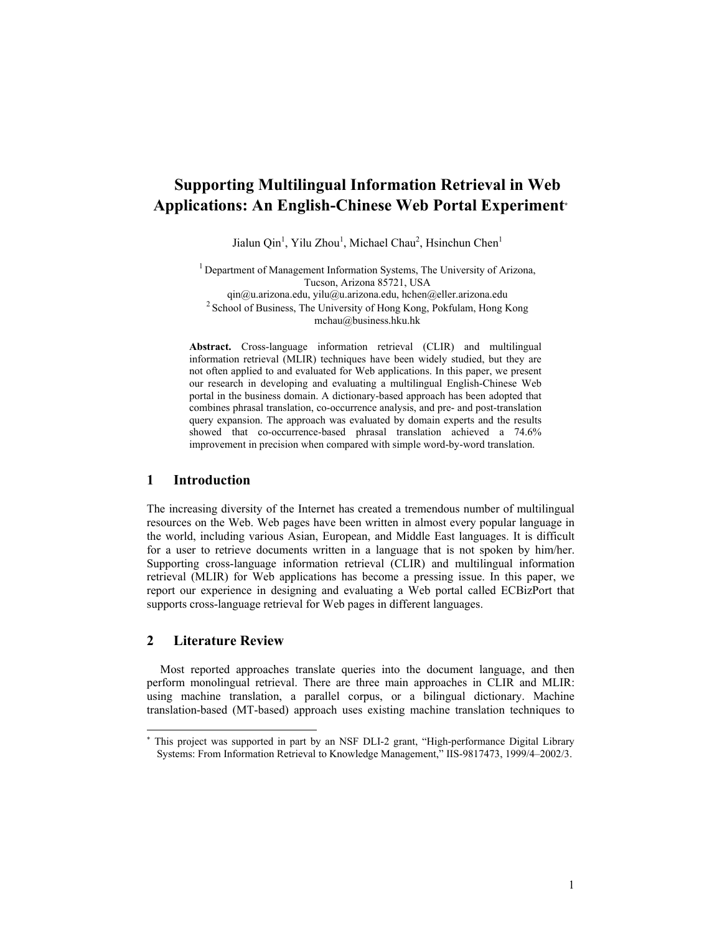# **Supporting Multilingual Information Retrieval in Web Applications: An English-Chinese Web Portal Experiment\***

Jialun Qin<sup>1</sup>, Yilu Zhou<sup>1</sup>, Michael Chau<sup>2</sup>, Hsinchun Chen<sup>1</sup>

 $<sup>1</sup>$  Department of Management Information Systems, The University of Arizona,</sup> Tucson, Arizona 85721, USA qin@u.arizona.edu, yilu@u.arizona.edu, hchen@eller.arizona.edu 2 School of Business, The University of Hong Kong, Pokfulam, Hong Kong mchau@business.hku.hk

**Abstract.** Cross-language information retrieval (CLIR) and multilingual information retrieval (MLIR) techniques have been widely studied, but they are not often applied to and evaluated for Web applications. In this paper, we present our research in developing and evaluating a multilingual English-Chinese Web portal in the business domain. A dictionary-based approach has been adopted that combines phrasal translation, co-occurrence analysis, and pre- and post-translation query expansion. The approach was evaluated by domain experts and the results showed that co-occurrence-based phrasal translation achieved a 74.6% improvement in precision when compared with simple word-by-word translation.

### **1 Introduction**

The increasing diversity of the Internet has created a tremendous number of multilingual resources on the Web. Web pages have been written in almost every popular language in the world, including various Asian, European, and Middle East languages. It is difficult for a user to retrieve documents written in a language that is not spoken by him/her. Supporting cross-language information retrieval (CLIR) and multilingual information retrieval (MLIR) for Web applications has become a pressing issue. In this paper, we report our experience in designing and evaluating a Web portal called ECBizPort that supports cross-language retrieval for Web pages in different languages.

# **2 Literature Review**

 $\overline{\phantom{a}}$ 

Most reported approaches translate queries into the document language, and then perform monolingual retrieval. There are three main approaches in CLIR and MLIR: using machine translation, a parallel corpus, or a bilingual dictionary. Machine translation-based (MT-based) approach uses existing machine translation techniques to

<sup>\*</sup> This project was supported in part by an NSF DLI-2 grant, "High-performance Digital Library Systems: From Information Retrieval to Knowledge Management," IIS-9817473, 1999/4–2002/3.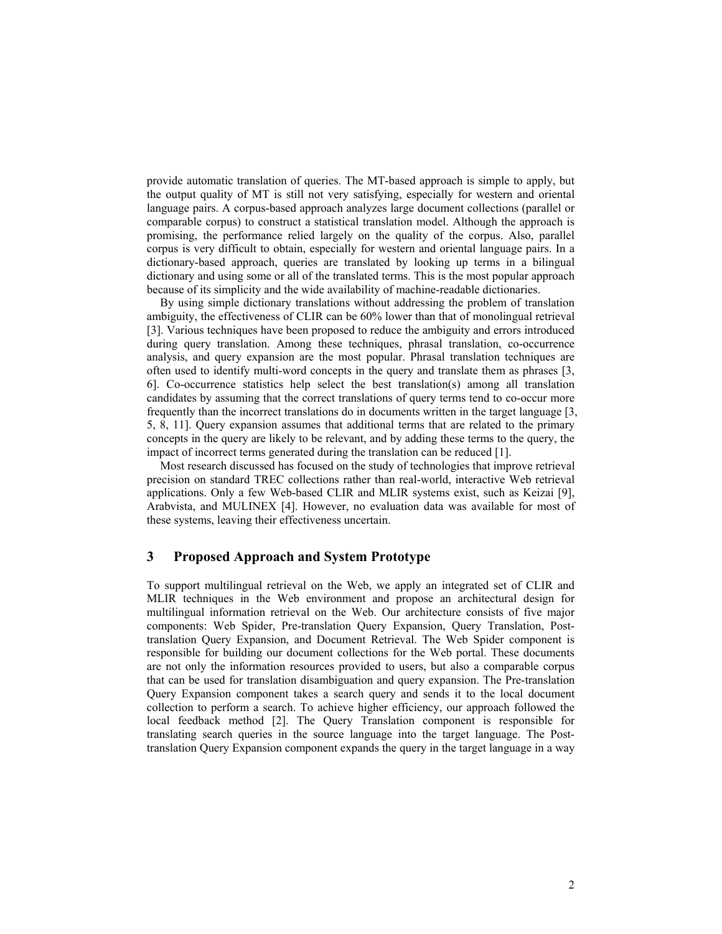provide automatic translation of queries. The MT-based approach is simple to apply, but the output quality of MT is still not very satisfying, especially for western and oriental language pairs. A corpus-based approach analyzes large document collections (parallel or comparable corpus) to construct a statistical translation model. Although the approach is promising, the performance relied largely on the quality of the corpus. Also, parallel corpus is very difficult to obtain, especially for western and oriental language pairs. In a dictionary-based approach, queries are translated by looking up terms in a bilingual dictionary and using some or all of the translated terms. This is the most popular approach because of its simplicity and the wide availability of machine-readable dictionaries.

By using simple dictionary translations without addressing the problem of translation ambiguity, the effectiveness of CLIR can be 60% lower than that of monolingual retrieval [3]. Various techniques have been proposed to reduce the ambiguity and errors introduced during query translation. Among these techniques, phrasal translation, co-occurrence analysis, and query expansion are the most popular. Phrasal translation techniques are often used to identify multi-word concepts in the query and translate them as phrases [3, 6]. Co-occurrence statistics help select the best translation(s) among all translation candidates by assuming that the correct translations of query terms tend to co-occur more frequently than the incorrect translations do in documents written in the target language [3, 5, 8, 11]. Query expansion assumes that additional terms that are related to the primary concepts in the query are likely to be relevant, and by adding these terms to the query, the impact of incorrect terms generated during the translation can be reduced [1].

Most research discussed has focused on the study of technologies that improve retrieval precision on standard TREC collections rather than real-world, interactive Web retrieval applications. Only a few Web-based CLIR and MLIR systems exist, such as Keizai [9], Arabvista, and MULINEX [4]. However, no evaluation data was available for most of these systems, leaving their effectiveness uncertain.

### **3 Proposed Approach and System Prototype**

To support multilingual retrieval on the Web, we apply an integrated set of CLIR and MLIR techniques in the Web environment and propose an architectural design for multilingual information retrieval on the Web. Our architecture consists of five major components: Web Spider, Pre-translation Query Expansion, Query Translation, Posttranslation Query Expansion, and Document Retrieval. The Web Spider component is responsible for building our document collections for the Web portal. These documents are not only the information resources provided to users, but also a comparable corpus that can be used for translation disambiguation and query expansion. The Pre-translation Query Expansion component takes a search query and sends it to the local document collection to perform a search. To achieve higher efficiency, our approach followed the local feedback method [2]. The Query Translation component is responsible for translating search queries in the source language into the target language. The Posttranslation Query Expansion component expands the query in the target language in a way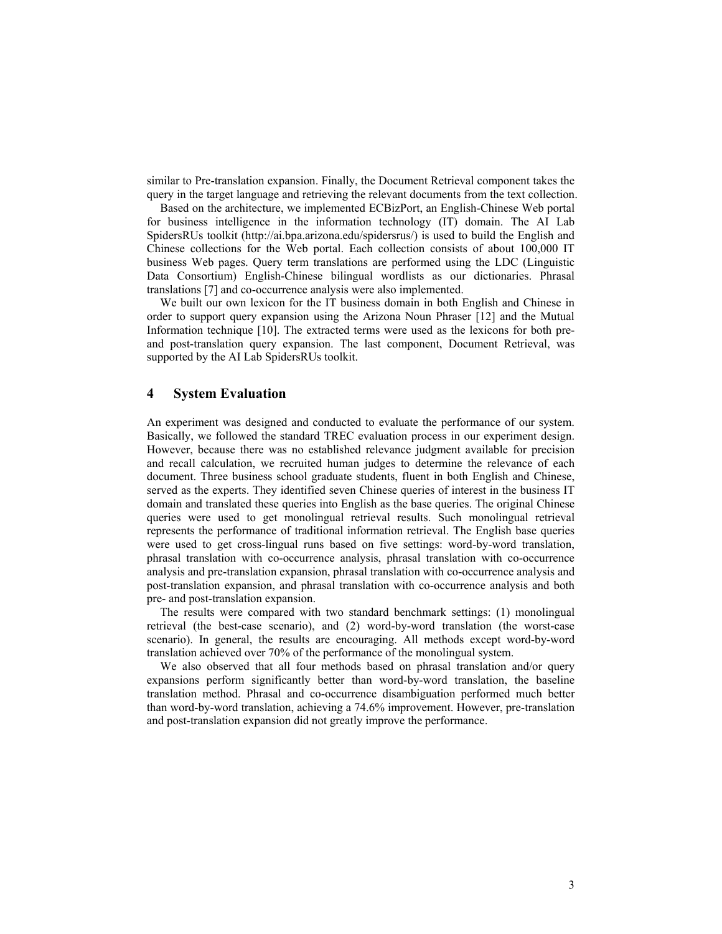similar to Pre-translation expansion. Finally, the Document Retrieval component takes the query in the target language and retrieving the relevant documents from the text collection.

Based on the architecture, we implemented ECBizPort, an English-Chinese Web portal for business intelligence in the information technology (IT) domain. The AI Lab SpidersRUs toolkit (http://ai.bpa.arizona.edu/spidersrus/) is used to build the English and Chinese collections for the Web portal. Each collection consists of about 100,000 IT business Web pages. Query term translations are performed using the LDC (Linguistic Data Consortium) English-Chinese bilingual wordlists as our dictionaries. Phrasal translations [7] and co-occurrence analysis were also implemented.

We built our own lexicon for the IT business domain in both English and Chinese in order to support query expansion using the Arizona Noun Phraser [12] and the Mutual Information technique [10]. The extracted terms were used as the lexicons for both preand post-translation query expansion. The last component, Document Retrieval, was supported by the AI Lab SpidersRUs toolkit.

#### **4 System Evaluation**

An experiment was designed and conducted to evaluate the performance of our system. Basically, we followed the standard TREC evaluation process in our experiment design. However, because there was no established relevance judgment available for precision and recall calculation, we recruited human judges to determine the relevance of each document. Three business school graduate students, fluent in both English and Chinese, served as the experts. They identified seven Chinese queries of interest in the business IT domain and translated these queries into English as the base queries. The original Chinese queries were used to get monolingual retrieval results. Such monolingual retrieval represents the performance of traditional information retrieval. The English base queries were used to get cross-lingual runs based on five settings: word-by-word translation, phrasal translation with co-occurrence analysis, phrasal translation with co-occurrence analysis and pre-translation expansion, phrasal translation with co-occurrence analysis and post-translation expansion, and phrasal translation with co-occurrence analysis and both pre- and post-translation expansion.

The results were compared with two standard benchmark settings: (1) monolingual retrieval (the best-case scenario), and (2) word-by-word translation (the worst-case scenario). In general, the results are encouraging. All methods except word-by-word translation achieved over 70% of the performance of the monolingual system.

We also observed that all four methods based on phrasal translation and/or query expansions perform significantly better than word-by-word translation, the baseline translation method. Phrasal and co-occurrence disambiguation performed much better than word-by-word translation, achieving a 74.6% improvement. However, pre-translation and post-translation expansion did not greatly improve the performance.